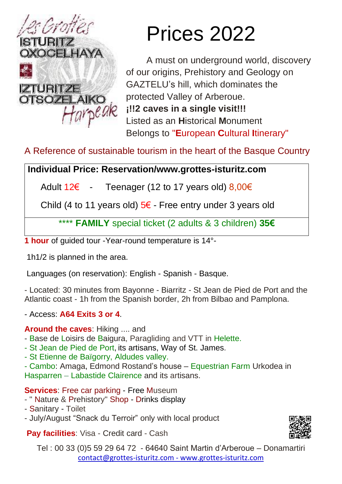

# Prices 2022

A must on underground world, discovery of our origins, Prehistory and Geology on GAZTELU's hill, which dominates the protected Valley of Arberoue. **¡!!2 caves in a single visit!!!**  Listed as an **H**istorical **M**onument Belongs to "**E**uropean **C**ultural **I**tinerary"

# A Reference of sustainable tourism in the heart of the Basque Country

### **Individual Price: Reservation/www.grottes-isturitz.com**

Adult  $12\epsilon$  - Teenager (12 to 17 years old)  $8,00\epsilon$ 

Child (4 to 11 years old)  $5\epsilon$  - Free entry under 3 years old

\*\*\*\* **FAMILY** special ticket (2 adults & 3 children) **35€**

**1 hour** of guided tour -Year-round temperature is 14°-

1h1/2 is planned in the area.

Languages (on reservation): English - Spanish - Basque.

- Located: 30 minutes from Bayonne - Biarritz - St Jean de Pied de Port and the Atlantic coast - 1h from the Spanish border, 2h from Bilbao and Pamplona.

### - Access: **A64 Exits 3 or 4**.

#### **Around the caves**: Hiking .... and

- Base de Loisirs de Baigura, Paragliding and VTT in Helette.
- St Jean de Pied de Port, its artisans, Way of St. James.
- St Etienne de Baïgorry, Aldudes valley.

- Cambo: Amaga, Edmond Rostand's house – Equestrian Farm Urkodea in Hasparren – Labastide Clairence and its artisans.

**Services**: Free car parking - Free Museum

- " Nature & Prehistory" Shop Drinks display
- Sanitary Toilet
- July/August "Snack du Terroir" only with local product

**Pay facilities**: Visa - Credit card - Cash



Tel : 00 33 (0)5 59 29 64 72 - 64640 Saint Martin d'Arberoue – Donamartiri [contact@grottes-isturitz.com](mailto:contact@grottes-isturitz.com) - [www.grottes-isturitz.com](http://www.grottes-isturitz.com/)